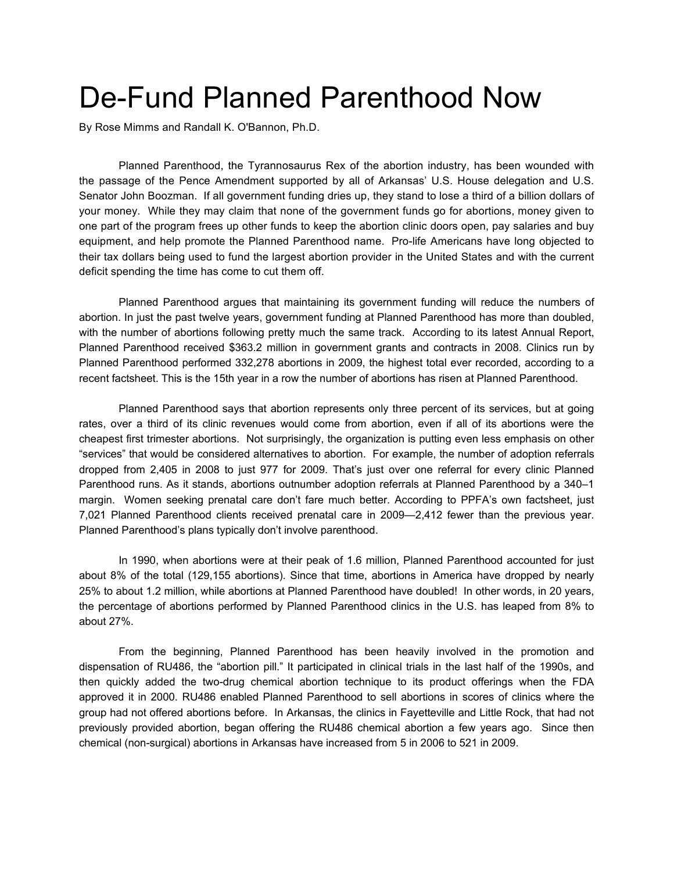## De-Fund Planned Parenthood Now

By Rose Mimms and Randall K. O'Bannon, Ph.D.

Planned Parenthood, the Tyrannosaurus Rex of the abortion industry, has been wounded with the passage of the Pence Amendment supported by all of Arkansas' U.S. House delegation and U.S. Senator John Boozman. If all government funding dries up, they stand to lose a third of a billion dollars of your money. While they may claim that none of the government funds go for abortions, money given to one part of the program frees up other funds to keep the abortion clinic doors open, pay salaries and buy equipment, and help promote the Planned Parenthood name. Pro-life Americans have long objected to their tax dollars being used to fund the largest abortion provider in the United States and with the current deficit spending the time has come to cut them off.

Planned Parenthood argues that maintaining its government funding will reduce the numbers of abortion. In just the past twelve years, government funding at Planned Parenthood has more than doubled, with the number of abortions following pretty much the same track. According to its latest Annual Report, Planned Parenthood received \$363.2 million in government grants and contracts in 2008. Clinics run by Planned Parenthood performed 332,278 abortions in 2009, the highest total ever recorded, according to a recent factsheet. This is the 15th year in a row the number of abortions has risen at Planned Parenthood.

Planned Parenthood says that abortion represents only three percent of its services, but at going rates, over a third of its clinic revenues would come from abortion, even if all of its abortions were the cheapest first trimester abortions. Not surprisingly, the organization is putting even less emphasis on other "services" that would be considered alternatives to abortion. For example, the number of adoption referrals dropped from 2,405 in 2008 to just 977 for 2009. That's just over one referral for every clinic Planned Parenthood runs. As it stands, abortions outnumber adoption referrals at Planned Parenthood by a 340–1 margin. Women seeking prenatal care don't fare much better. According to PPFA's own factsheet, just 7,021 Planned Parenthood clients received prenatal care in 2009—2,412 fewer than the previous year. Planned Parenthood's plans typically don't involve parenthood.

In 1990, when abortions were at their peak of 1.6 million, Planned Parenthood accounted for just about 8% of the total (129,155 abortions). Since that time, abortions in America have dropped by nearly 25% to about 1.2 million, while abortions at Planned Parenthood have doubled! In other words, in 20 years, the percentage of abortions performed by Planned Parenthood clinics in the U.S. has leaped from 8% to about 27%.

From the beginning, Planned Parenthood has been heavily involved in the promotion and dispensation of RU486, the "abortion pill." It participated in clinical trials in the last half of the 1990s, and then quickly added the two-drug chemical abortion technique to its product offerings when the FDA approved it in 2000. RU486 enabled Planned Parenthood to sell abortions in scores of clinics where the group had not offered abortions before. In Arkansas, the clinics in Fayetteville and Little Rock, that had not previously provided abortion, began offering the RU486 chemical abortion a few years ago. Since then chemical (non-surgical) abortions in Arkansas have increased from 5 in 2006 to 521 in 2009.